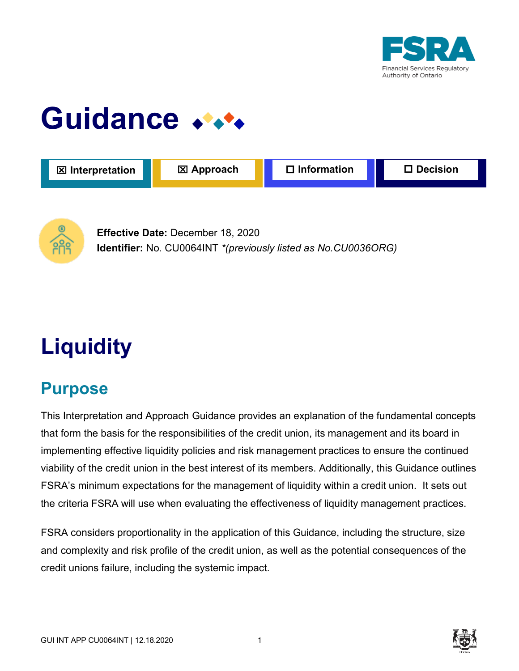

# **Guidance**





**Effective Date:** December 18, 2020 **Identifier:** No. CU0064INT *\*(previously listed as No.CU0036ORG)*

## **Liquidity**

## **Purpose**

This Interpretation and Approach Guidance provides an explanation of the fundamental concepts that form the basis for the responsibilities of the credit union, its management and its board in implementing effective liquidity policies and risk management practices to ensure the continued viability of the credit union in the best interest of its members. Additionally, this Guidance outlines FSRA's minimum expectations for the management of liquidity within a credit union. It sets out the criteria FSRA will use when evaluating the effectiveness of liquidity management practices.

FSRA considers proportionality in the application of this Guidance, including the structure, size and complexity and risk profile of the credit union, as well as the potential consequences of the credit unions failure, including the systemic impact.

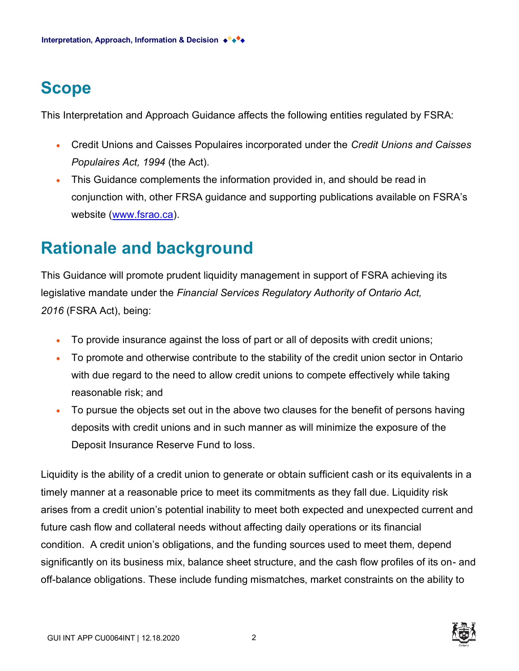## **Scope**

This Interpretation and Approach Guidance affects the following entities regulated by FSRA:

- Credit Unions and Caisses Populaires incorporated under the *Credit Unions and Caisses Populaires Act, 1994* (the Act).
- This Guidance complements the information provided in, and should be read in conjunction with, other FRSA guidance and supporting publications available on FSRA's website [\(www.fsrao.ca\)](https://wordhtml.com/).

## **Rationale and background**

This Guidance will promote prudent liquidity management in support of FSRA achieving its legislative mandate under the *Financial Services Regulatory Authority of Ontario Act, 2016* (FSRA Act), being:

- To provide insurance against the loss of part or all of deposits with credit unions;
- To promote and otherwise contribute to the stability of the credit union sector in Ontario with due regard to the need to allow credit unions to compete effectively while taking reasonable risk; and
- To pursue the objects set out in the above two clauses for the benefit of persons having deposits with credit unions and in such manner as will minimize the exposure of the Deposit Insurance Reserve Fund to loss.

Liquidity is the ability of a credit union to generate or obtain sufficient cash or its equivalents in a timely manner at a reasonable price to meet its commitments as they fall due. Liquidity risk arises from a credit union's potential inability to meet both expected and unexpected current and future cash flow and collateral needs without affecting daily operations or its financial condition. A credit union's obligations, and the funding sources used to meet them, depend significantly on its business mix, balance sheet structure, and the cash flow profiles of its on- and off-balance obligations. These include funding mismatches, market constraints on the ability to

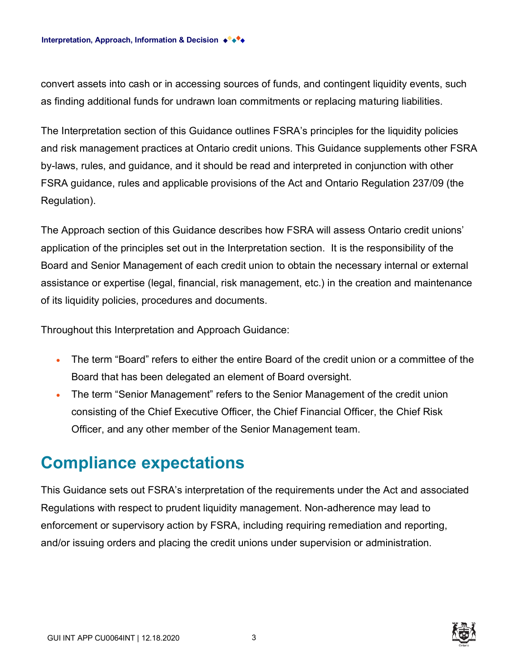convert assets into cash or in accessing sources of funds, and contingent liquidity events, such as finding additional funds for undrawn loan commitments or replacing maturing liabilities.

The Interpretation section of this Guidance outlines FSRA's principles for the liquidity policies and risk management practices at Ontario credit unions. This Guidance supplements other FSRA by-laws, rules, and guidance, and it should be read and interpreted in conjunction with other FSRA guidance, rules and applicable provisions of the Act and Ontario Regulation 237/09 (the Regulation).

The Approach section of this Guidance describes how FSRA will assess Ontario credit unions' application of the principles set out in the Interpretation section. It is the responsibility of the Board and Senior Management of each credit union to obtain the necessary internal or external assistance or expertise (legal, financial, risk management, etc.) in the creation and maintenance of its liquidity policies, procedures and documents.

Throughout this Interpretation and Approach Guidance:

- The term "Board" refers to either the entire Board of the credit union or a committee of the Board that has been delegated an element of Board oversight.
- The term "Senior Management" refers to the Senior Management of the credit union consisting of the Chief Executive Officer, the Chief Financial Officer, the Chief Risk Officer, and any other member of the Senior Management team.

## **Compliance expectations**

This Guidance sets out FSRA's interpretation of the requirements under the Act and associated Regulations with respect to prudent liquidity management. Non-adherence may lead to enforcement or supervisory action by FSRA, including requiring remediation and reporting, and/or issuing orders and placing the credit unions under supervision or administration.

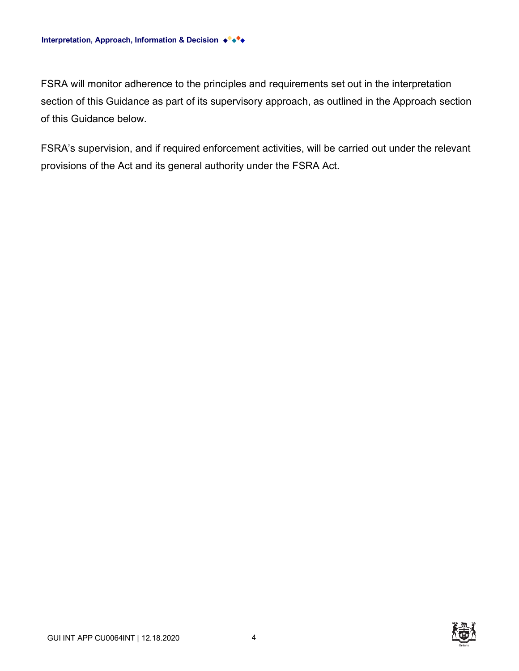FSRA will monitor adherence to the principles and requirements set out in the interpretation section of this Guidance as part of its supervisory approach, as outlined in the Approach section of this Guidance below.

FSRA's supervision, and if required enforcement activities, will be carried out under the relevant provisions of the Act and its general authority under the FSRA Act.

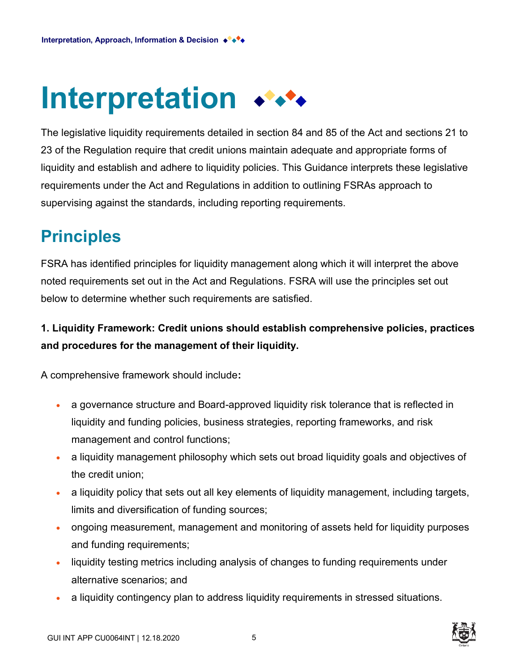# **Interpretation**

The legislative liquidity requirements detailed in section 84 and 85 of the Act and sections 21 to 23 of the Regulation require that credit unions maintain adequate and appropriate forms of liquidity and establish and adhere to liquidity policies. This Guidance interprets these legislative requirements under the Act and Regulations in addition to outlining FSRAs approach to supervising against the standards, including reporting requirements.

## **Principles**

FSRA has identified principles for liquidity management along which it will interpret the above noted requirements set out in the Act and Regulations. FSRA will use the principles set out below to determine whether such requirements are satisfied.

#### **1. Liquidity Framework: Credit unions should establish comprehensive policies, practices and procedures for the management of their liquidity.**

A comprehensive framework should include**:**

- a governance structure and Board-approved liquidity risk tolerance that is reflected in liquidity and funding policies, business strategies, reporting frameworks, and risk management and control functions;
- a liquidity management philosophy which sets out broad liquidity goals and objectives of the credit union;
- a liquidity policy that sets out all key elements of liquidity management, including targets, limits and diversification of funding sources;
- ongoing measurement, management and monitoring of assets held for liquidity purposes and funding requirements;
- liquidity testing metrics including analysis of changes to funding requirements under alternative scenarios; and
- a liquidity contingency plan to address liquidity requirements in stressed situations.

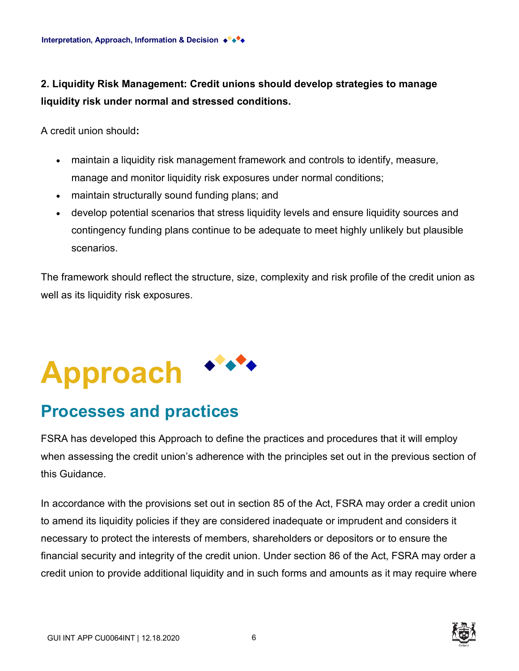**2. Liquidity Risk Management: Credit unions should develop strategies to manage liquidity risk under normal and stressed conditions.**

A credit union should**:**

- maintain a liquidity risk management framework and controls to identify, measure, manage and monitor liquidity risk exposures under normal conditions;
- maintain structurally sound funding plans; and
- develop potential scenarios that stress liquidity levels and ensure liquidity sources and contingency funding plans continue to be adequate to meet highly unlikely but plausible scenarios.

The framework should reflect the structure, size, complexity and risk profile of the credit union as well as its liquidity risk exposures.

# **Approach**

## **Processes and practices**

FSRA has developed this Approach to define the practices and procedures that it will employ when assessing the credit union's adherence with the principles set out in the previous section of this Guidance.

In accordance with the provisions set out in section 85 of the Act, FSRA may order a credit union to amend its liquidity policies if they are considered inadequate or imprudent and considers it necessary to protect the interests of members, shareholders or depositors or to ensure the financial security and integrity of the credit union. Under section 86 of the Act, FSRA may order a credit union to provide additional liquidity and in such forms and amounts as it may require where

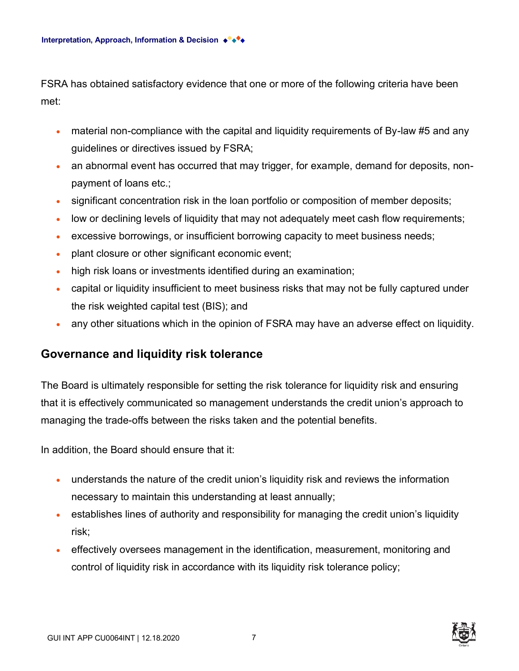FSRA has obtained satisfactory evidence that one or more of the following criteria have been met:

- material non-compliance with the capital and liquidity requirements of By-law #5 and any guidelines or directives issued by FSRA;
- an abnormal event has occurred that may trigger, for example, demand for deposits, nonpayment of loans etc.;
- significant concentration risk in the loan portfolio or composition of member deposits;
- low or declining levels of liquidity that may not adequately meet cash flow requirements;
- excessive borrowings, or insufficient borrowing capacity to meet business needs;
- plant closure or other significant economic event;
- high risk loans or investments identified during an examination;
- capital or liquidity insufficient to meet business risks that may not be fully captured under the risk weighted capital test (BIS); and
- any other situations which in the opinion of FSRA may have an adverse effect on liquidity.

#### **Governance and liquidity risk tolerance**

The Board is ultimately responsible for setting the risk tolerance for liquidity risk and ensuring that it is effectively communicated so management understands the credit union's approach to managing the trade-offs between the risks taken and the potential benefits.

In addition, the Board should ensure that it:

- understands the nature of the credit union's liquidity risk and reviews the information necessary to maintain this understanding at least annually;
- establishes lines of authority and responsibility for managing the credit union's liquidity risk;
- effectively oversees management in the identification, measurement, monitoring and control of liquidity risk in accordance with its liquidity risk tolerance policy;

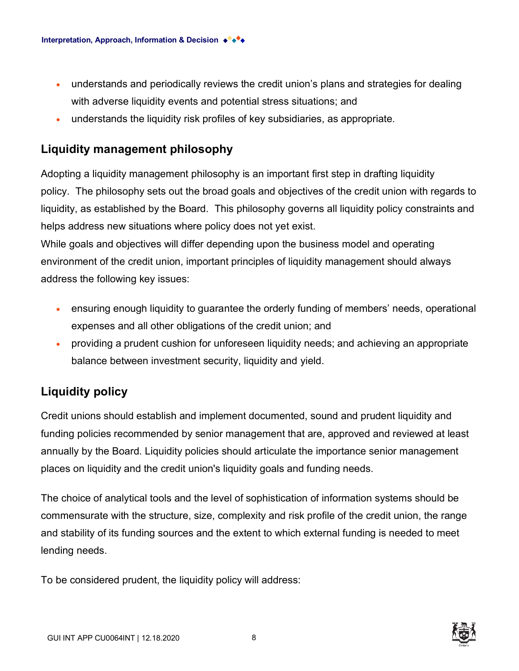- understands and periodically reviews the credit union's plans and strategies for dealing with adverse liquidity events and potential stress situations; and
- understands the liquidity risk profiles of key subsidiaries, as appropriate.

#### **Liquidity management philosophy**

Adopting a liquidity management philosophy is an important first step in drafting liquidity policy. The philosophy sets out the broad goals and objectives of the credit union with regards to liquidity, as established by the Board. This philosophy governs all liquidity policy constraints and helps address new situations where policy does not yet exist.

While goals and objectives will differ depending upon the business model and operating environment of the credit union, important principles of liquidity management should always address the following key issues:

- ensuring enough liquidity to quarantee the orderly funding of members' needs, operational expenses and all other obligations of the credit union; and
- providing a prudent cushion for unforeseen liquidity needs; and achieving an appropriate balance between investment security, liquidity and yield.

#### **Liquidity policy**

Credit unions should establish and implement documented, sound and prudent liquidity and funding policies recommended by senior management that are, approved and reviewed at least annually by the Board. Liquidity policies should articulate the importance senior management places on liquidity and the credit union's liquidity goals and funding needs.

The choice of analytical tools and the level of sophistication of information systems should be commensurate with the structure, size, complexity and risk profile of the credit union, the range and stability of its funding sources and the extent to which external funding is needed to meet lending needs.

To be considered prudent, the liquidity policy will address:

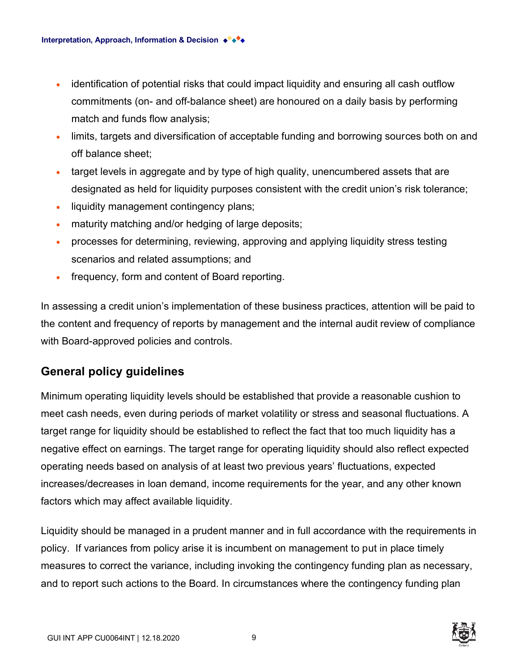- identification of potential risks that could impact liquidity and ensuring all cash outflow commitments (on- and off-balance sheet) are honoured on a daily basis by performing match and funds flow analysis;
- limits, targets and diversification of acceptable funding and borrowing sources both on and off balance sheet;
- target levels in aggregate and by type of high quality, unencumbered assets that are designated as held for liquidity purposes consistent with the credit union's risk tolerance;
- liquidity management contingency plans;
- maturity matching and/or hedging of large deposits;
- processes for determining, reviewing, approving and applying liquidity stress testing scenarios and related assumptions; and
- frequency, form and content of Board reporting.

In assessing a credit union's implementation of these business practices, attention will be paid to the content and frequency of reports by management and the internal audit review of compliance with Board-approved policies and controls.

#### **General policy guidelines**

Minimum operating liquidity levels should be established that provide a reasonable cushion to meet cash needs, even during periods of market volatility or stress and seasonal fluctuations. A target range for liquidity should be established to reflect the fact that too much liquidity has a negative effect on earnings. The target range for operating liquidity should also reflect expected operating needs based on analysis of at least two previous years' fluctuations, expected increases/decreases in loan demand, income requirements for the year, and any other known factors which may affect available liquidity.

Liquidity should be managed in a prudent manner and in full accordance with the requirements in policy. If variances from policy arise it is incumbent on management to put in place timely measures to correct the variance, including invoking the contingency funding plan as necessary, and to report such actions to the Board. In circumstances where the contingency funding plan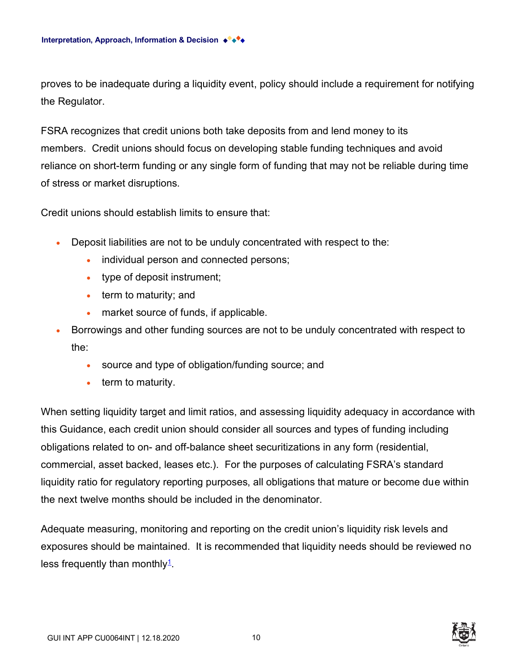proves to be inadequate during a liquidity event, policy should include a requirement for notifying the Regulator.

FSRA recognizes that credit unions both take deposits from and lend money to its members. Credit unions should focus on developing stable funding techniques and avoid reliance on short-term funding or any single form of funding that may not be reliable during time of stress or market disruptions.

Credit unions should establish limits to ensure that:

- Deposit liabilities are not to be unduly concentrated with respect to the:
	- individual person and connected persons;
	- type of deposit instrument;
	- term to maturity; and
	- market source of funds, if applicable.
- Borrowings and other funding sources are not to be unduly concentrated with respect to the:
	- source and type of obligation/funding source; and
	- term to maturity.

When setting liquidity target and limit ratios, and assessing liquidity adequacy in accordance with this Guidance, each credit union should consider all sources and types of funding including obligations related to on- and off-balance sheet securitizations in any form (residential, commercial, asset backed, leases etc.). For the purposes of calculating FSRA's standard liquidity ratio for regulatory reporting purposes, all obligations that mature or become due within the next twelve months should be included in the denominator.

Adequate measuring, monitoring and reporting on the credit union's liquidity risk levels and exposures should be maintained. It is recommended that liquidity needs should be reviewed no less frequently than monthly<sup>[1](https://wordhtml.com/#ftn1)</sup>.

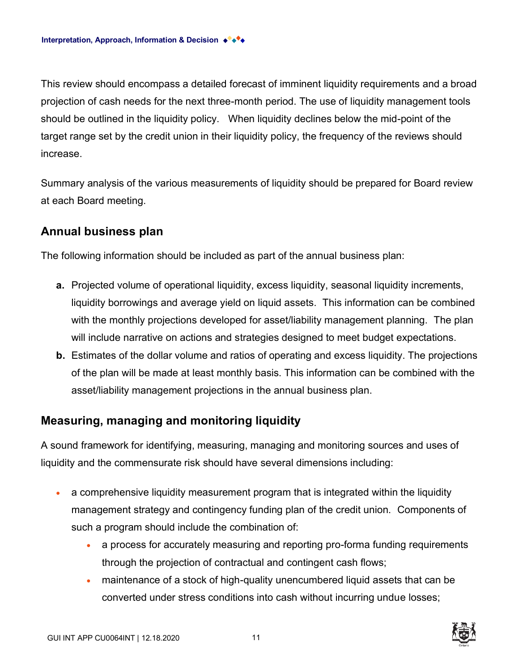This review should encompass a detailed forecast of imminent liquidity requirements and a broad projection of cash needs for the next three-month period. The use of liquidity management tools should be outlined in the liquidity policy. When liquidity declines below the mid-point of the target range set by the credit union in their liquidity policy, the frequency of the reviews should increase.

Summary analysis of the various measurements of liquidity should be prepared for Board review at each Board meeting.

#### **Annual business plan**

The following information should be included as part of the annual business plan:

- **a.** Projected volume of operational liquidity, excess liquidity, seasonal liquidity increments, liquidity borrowings and average yield on liquid assets. This information can be combined with the monthly projections developed for asset/liability management planning. The plan will include narrative on actions and strategies designed to meet budget expectations.
- **b.** Estimates of the dollar volume and ratios of operating and excess liquidity. The projections of the plan will be made at least monthly basis. This information can be combined with the asset/liability management projections in the annual business plan.

#### **Measuring, managing and monitoring liquidity**

A sound framework for identifying, measuring, managing and monitoring sources and uses of liquidity and the commensurate risk should have several dimensions including:

- a comprehensive liquidity measurement program that is integrated within the liquidity management strategy and contingency funding plan of the credit union. Components of such a program should include the combination of:
	- a process for accurately measuring and reporting pro-forma funding requirements through the projection of contractual and contingent cash flows;
	- maintenance of a stock of high-quality unencumbered liquid assets that can be converted under stress conditions into cash without incurring undue losses;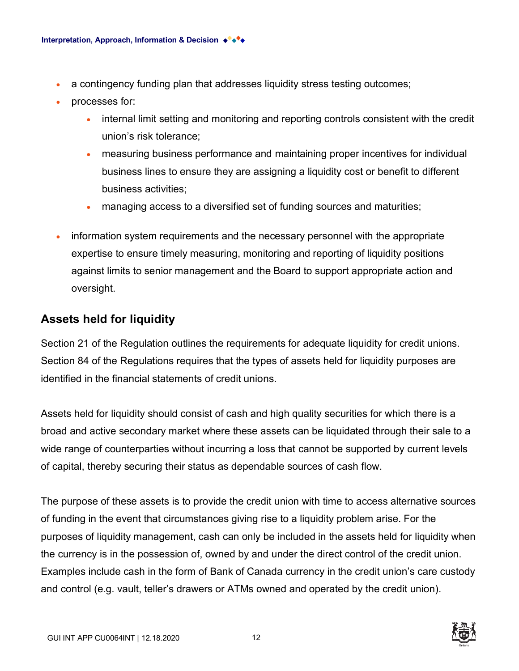- a contingency funding plan that addresses liquidity stress testing outcomes;
- processes for:
	- internal limit setting and monitoring and reporting controls consistent with the credit union's risk tolerance;
	- measuring business performance and maintaining proper incentives for individual business lines to ensure they are assigning a liquidity cost or benefit to different business activities;
	- managing access to a diversified set of funding sources and maturities;
- information system requirements and the necessary personnel with the appropriate expertise to ensure timely measuring, monitoring and reporting of liquidity positions against limits to senior management and the Board to support appropriate action and oversight.

#### **Assets held for liquidity**

Section 21 of the Regulation outlines the requirements for adequate liquidity for credit unions. Section 84 of the Regulations requires that the types of assets held for liquidity purposes are identified in the financial statements of credit unions.

Assets held for liquidity should consist of cash and high quality securities for which there is a broad and active secondary market where these assets can be liquidated through their sale to a wide range of counterparties without incurring a loss that cannot be supported by current levels of capital, thereby securing their status as dependable sources of cash flow.

The purpose of these assets is to provide the credit union with time to access alternative sources of funding in the event that circumstances giving rise to a liquidity problem arise. For the purposes of liquidity management, cash can only be included in the assets held for liquidity when the currency is in the possession of, owned by and under the direct control of the credit union. Examples include cash in the form of Bank of Canada currency in the credit union's care custody and control (e.g. vault, teller's drawers or ATMs owned and operated by the credit union).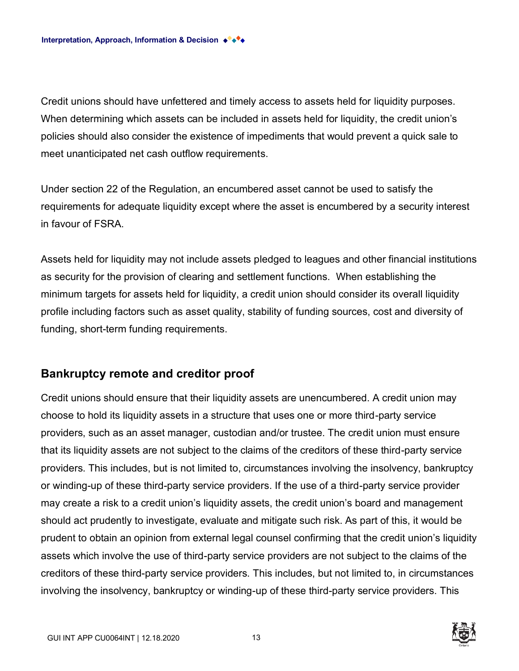Credit unions should have unfettered and timely access to assets held for liquidity purposes. When determining which assets can be included in assets held for liquidity, the credit union's policies should also consider the existence of impediments that would prevent a quick sale to meet unanticipated net cash outflow requirements.

Under section 22 of the Regulation, an encumbered asset cannot be used to satisfy the requirements for adequate liquidity except where the asset is encumbered by a security interest in favour of FSRA.

Assets held for liquidity may not include assets pledged to leagues and other financial institutions as security for the provision of clearing and settlement functions. When establishing the minimum targets for assets held for liquidity, a credit union should consider its overall liquidity profile including factors such as asset quality, stability of funding sources, cost and diversity of funding, short-term funding requirements.

#### **Bankruptcy remote and creditor proof**

Credit unions should ensure that their liquidity assets are unencumbered. A credit union may choose to hold its liquidity assets in a structure that uses one or more third-party service providers, such as an asset manager, custodian and/or trustee. The credit union must ensure that its liquidity assets are not subject to the claims of the creditors of these third-party service providers. This includes, but is not limited to, circumstances involving the insolvency, bankruptcy or winding-up of these third-party service providers. If the use of a third-party service provider may create a risk to a credit union's liquidity assets, the credit union's board and management should act prudently to investigate, evaluate and mitigate such risk. As part of this, it would be prudent to obtain an opinion from external legal counsel confirming that the credit union's liquidity assets which involve the use of third-party service providers are not subject to the claims of the creditors of these third-party service providers. This includes, but not limited to, in circumstances involving the insolvency, bankruptcy or winding-up of these third-party service providers. This

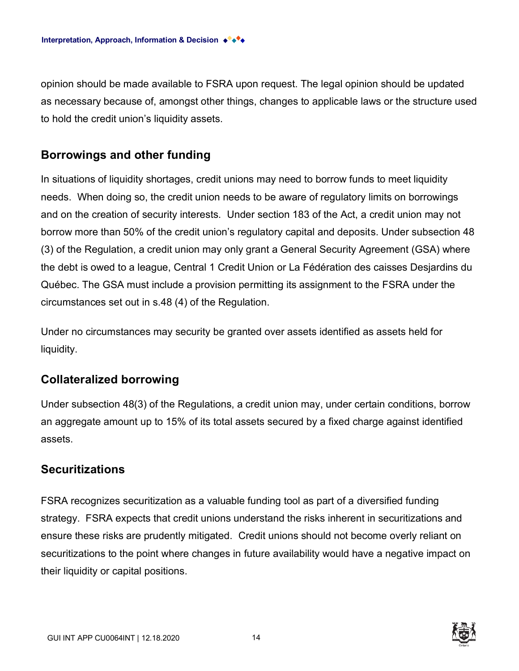opinion should be made available to FSRA upon request. The legal opinion should be updated as necessary because of, amongst other things, changes to applicable laws or the structure used to hold the credit union's liquidity assets.

#### **Borrowings and other funding**

In situations of liquidity shortages, credit unions may need to borrow funds to meet liquidity needs. When doing so, the credit union needs to be aware of regulatory limits on borrowings and on the creation of security interests. Under section 183 of the Act, a credit union may not borrow more than 50% of the credit union's regulatory capital and deposits. Under subsection 48 (3) of the Regulation, a credit union may only grant a General Security Agreement (GSA) where the debt is owed to a league, Central 1 Credit Union or La Fédération des caisses Desjardins du Québec. The GSA must include a provision permitting its assignment to the FSRA under the circumstances set out in s.48 (4) of the Regulation.

Under no circumstances may security be granted over assets identified as assets held for liquidity.

#### **Collateralized borrowing**

Under subsection 48(3) of the Regulations, a credit union may, under certain conditions, borrow an aggregate amount up to 15% of its total assets secured by a fixed charge against identified assets.

#### **Securitizations**

FSRA recognizes securitization as a valuable funding tool as part of a diversified funding strategy. FSRA expects that credit unions understand the risks inherent in securitizations and ensure these risks are prudently mitigated. Credit unions should not become overly reliant on securitizations to the point where changes in future availability would have a negative impact on their liquidity or capital positions.

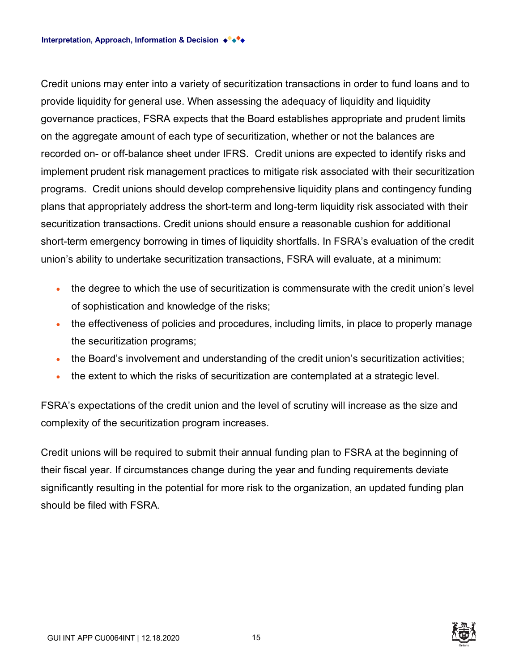Credit unions may enter into a variety of securitization transactions in order to fund loans and to provide liquidity for general use. When assessing the adequacy of liquidity and liquidity governance practices, FSRA expects that the Board establishes appropriate and prudent limits on the aggregate amount of each type of securitization, whether or not the balances are recorded on- or off-balance sheet under IFRS. Credit unions are expected to identify risks and implement prudent risk management practices to mitigate risk associated with their securitization programs. Credit unions should develop comprehensive liquidity plans and contingency funding plans that appropriately address the short-term and long-term liquidity risk associated with their securitization transactions. Credit unions should ensure a reasonable cushion for additional short-term emergency borrowing in times of liquidity shortfalls. In FSRA's evaluation of the credit union's ability to undertake securitization transactions, FSRA will evaluate, at a minimum:

- the degree to which the use of securitization is commensurate with the credit union's level of sophistication and knowledge of the risks;
- the effectiveness of policies and procedures, including limits, in place to properly manage the securitization programs;
- the Board's involvement and understanding of the credit union's securitization activities;
- the extent to which the risks of securitization are contemplated at a strategic level.

FSRA's expectations of the credit union and the level of scrutiny will increase as the size and complexity of the securitization program increases.

Credit unions will be required to submit their annual funding plan to FSRA at the beginning of their fiscal year. If circumstances change during the year and funding requirements deviate significantly resulting in the potential for more risk to the organization, an updated funding plan should be filed with FSRA.

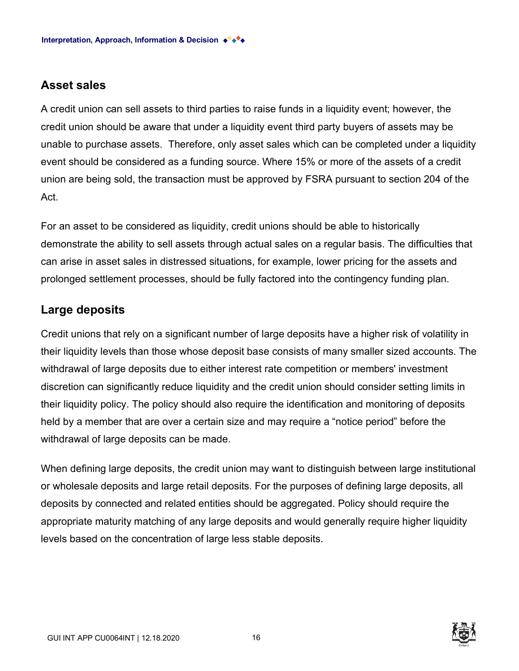#### **Asset sales**

A credit union can sell assets to third parties to raise funds in a liquidity event; however, the credit union should be aware that under a liquidity event third party buyers of assets may be unable to purchase assets. Therefore, only asset sales which can be completed under a liquidity event should be considered as a funding source. Where 15% or more of the assets of a credit union are being sold, the transaction must be approved by FSRA pursuant to section 204 of the Act.

For an asset to be considered as liquidity, credit unions should be able to historically demonstrate the ability to sell assets through actual sales on a regular basis. The difficulties that can arise in asset sales in distressed situations, for example, lower pricing for the assets and prolonged settlement processes, should be fully factored into the contingency funding plan.

#### **Large deposits**

Credit unions that rely on a significant number of large deposits have a higher risk of volatility in their liquidity levels than those whose deposit base consists of many smaller sized accounts. The withdrawal of large deposits due to either interest rate competition or members' investment discretion can significantly reduce liquidity and the credit union should consider setting limits in their liquidity policy. The policy should also require the identification and monitoring of deposits held by a member that are over a certain size and may require a "notice period" before the withdrawal of large deposits can be made.

When defining large deposits, the credit union may want to distinguish between large institutional or wholesale deposits and large retail deposits. For the purposes of defining large deposits, all deposits by connected and related entities should be aggregated. Policy should require the appropriate maturity matching of any large deposits and would generally require higher liquidity levels based on the concentration of large less stable deposits.

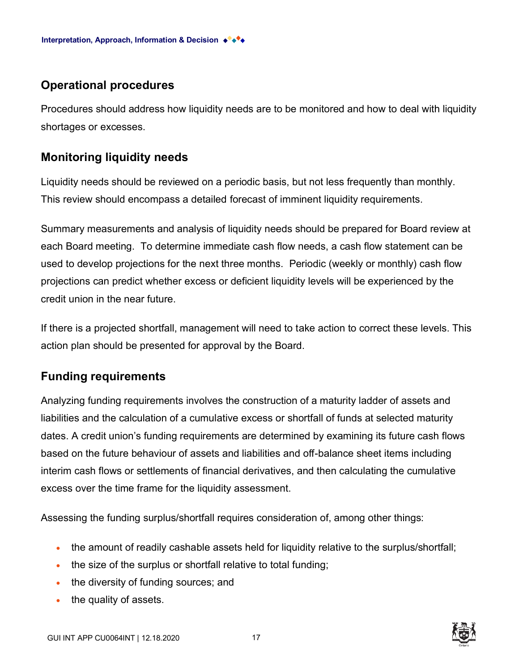#### **Operational procedures**

Procedures should address how liquidity needs are to be monitored and how to deal with liquidity shortages or excesses.

#### **Monitoring liquidity needs**

Liquidity needs should be reviewed on a periodic basis, but not less frequently than monthly. This review should encompass a detailed forecast of imminent liquidity requirements.

Summary measurements and analysis of liquidity needs should be prepared for Board review at each Board meeting. To determine immediate cash flow needs, a cash flow statement can be used to develop projections for the next three months. Periodic (weekly or monthly) cash flow projections can predict whether excess or deficient liquidity levels will be experienced by the credit union in the near future.

If there is a projected shortfall, management will need to take action to correct these levels. This action plan should be presented for approval by the Board.

#### **Funding requirements**

Analyzing funding requirements involves the construction of a maturity ladder of assets and liabilities and the calculation of a cumulative excess or shortfall of funds at selected maturity dates. A credit union's funding requirements are determined by examining its future cash flows based on the future behaviour of assets and liabilities and off-balance sheet items including interim cash flows or settlements of financial derivatives, and then calculating the cumulative excess over the time frame for the liquidity assessment.

Assessing the funding surplus/shortfall requires consideration of, among other things:

- the amount of readily cashable assets held for liquidity relative to the surplus/shortfall;
- the size of the surplus or shortfall relative to total funding;
- the diversity of funding sources; and
- the quality of assets.

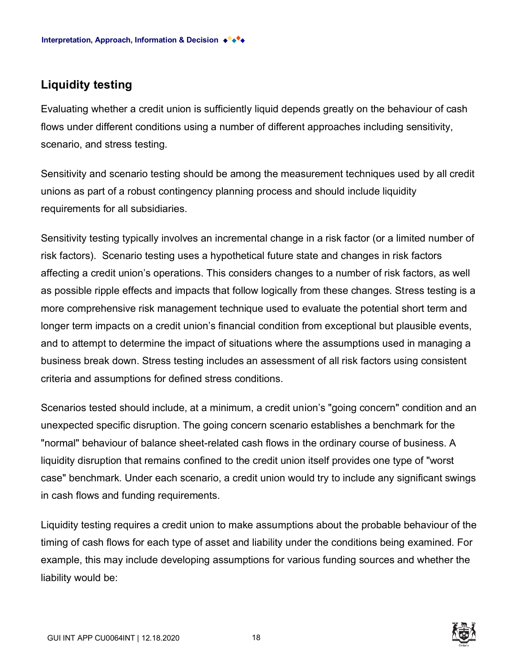#### **Liquidity testing**

Evaluating whether a credit union is sufficiently liquid depends greatly on the behaviour of cash flows under different conditions using a number of different approaches including sensitivity, scenario, and stress testing.

Sensitivity and scenario testing should be among the measurement techniques used by all credit unions as part of a robust contingency planning process and should include liquidity requirements for all subsidiaries.

Sensitivity testing typically involves an incremental change in a risk factor (or a limited number of risk factors). Scenario testing uses a hypothetical future state and changes in risk factors affecting a credit union's operations. This considers changes to a number of risk factors, as well as possible ripple effects and impacts that follow logically from these changes. Stress testing is a more comprehensive risk management technique used to evaluate the potential short term and longer term impacts on a credit union's financial condition from exceptional but plausible events, and to attempt to determine the impact of situations where the assumptions used in managing a business break down. Stress testing includes an assessment of all risk factors using consistent criteria and assumptions for defined stress conditions.

Scenarios tested should include, at a minimum, a credit union's "going concern" condition and an unexpected specific disruption. The going concern scenario establishes a benchmark for the "normal" behaviour of balance sheet-related cash flows in the ordinary course of business. A liquidity disruption that remains confined to the credit union itself provides one type of "worst case" benchmark. Under each scenario, a credit union would try to include any significant swings in cash flows and funding requirements.

Liquidity testing requires a credit union to make assumptions about the probable behaviour of the timing of cash flows for each type of asset and liability under the conditions being examined. For example, this may include developing assumptions for various funding sources and whether the liability would be:

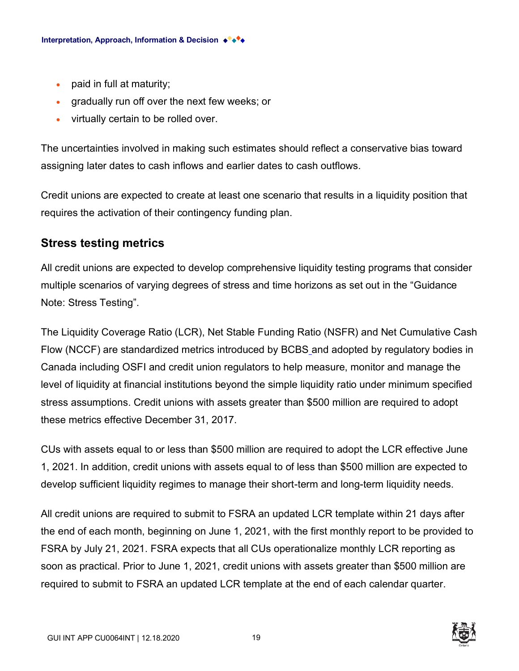- paid in full at maturity;
- gradually run off over the next few weeks; or
- virtually certain to be rolled over.

The uncertainties involved in making such estimates should reflect a conservative bias toward assigning later dates to cash inflows and earlier dates to cash outflows.

Credit unions are expected to create at least one scenario that results in a liquidity position that requires the activation of their contingency funding plan.

#### **Stress testing metrics**

All credit unions are expected to develop comprehensive liquidity testing programs that consider multiple scenarios of varying degrees of stress and time horizons as set out in the "Guidance Note: Stress Testing".

The Liquidity Coverage Ratio (LCR), Net Stable Funding Ratio (NSFR) and Net Cumulative Cash Flow (NCCF) are standardized metrics introduced by BCBS [a](https://wordhtml.com/#_ftn2)nd adopted by regulatory bodies in Canada including OSFI and credit union regulators to help measure, monitor and manage the level of liquidity at financial institutions beyond the simple liquidity ratio under minimum specified stress assumptions. Credit unions with assets greater than \$500 million are required to adopt these metrics effective December 31, 2017.

CUs with assets equal to or less than \$500 million are required to adopt the LCR effective June 1, 2021. In addition, credit unions with assets equal to of less than \$500 million are expected to develop sufficient liquidity regimes to manage their short-term and long-term liquidity needs.

All credit unions are required to submit to FSRA an updated LCR template within 21 days after the end of each month, beginning on June 1, 2021, with the first monthly report to be provided to FSRA by July 21, 2021. FSRA expects that all CUs operationalize monthly LCR reporting as soon as practical. Prior to June 1, 2021, credit unions with assets greater than \$500 million are required to submit to FSRA an updated LCR template at the end of each calendar quarter.

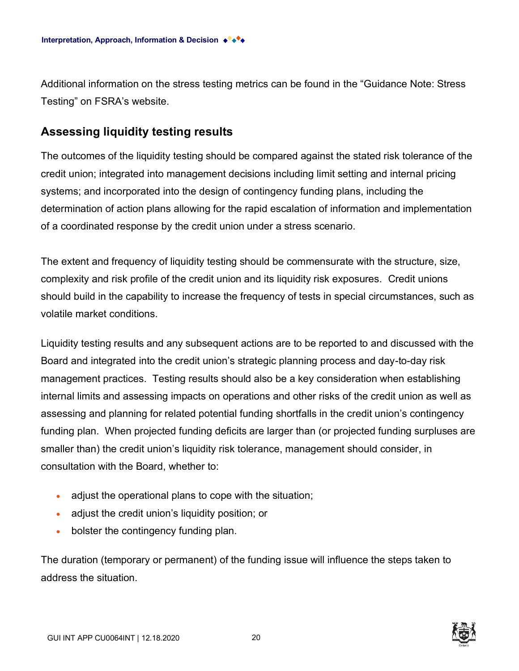Additional information on the stress testing metrics can be found in the "Guidance Note: Stress Testing" on FSRA's website.

#### **Assessing liquidity testing results**

The outcomes of the liquidity testing should be compared against the stated risk tolerance of the credit union; integrated into management decisions including limit setting and internal pricing systems; and incorporated into the design of contingency funding plans, including the determination of action plans allowing for the rapid escalation of information and implementation of a coordinated response by the credit union under a stress scenario.

The extent and frequency of liquidity testing should be commensurate with the structure, size, complexity and risk profile of the credit union and its liquidity risk exposures. Credit unions should build in the capability to increase the frequency of tests in special circumstances, such as volatile market conditions.

Liquidity testing results and any subsequent actions are to be reported to and discussed with the Board and integrated into the credit union's strategic planning process and day-to-day risk management practices. Testing results should also be a key consideration when establishing internal limits and assessing impacts on operations and other risks of the credit union as well as assessing and planning for related potential funding shortfalls in the credit union's contingency funding plan. When projected funding deficits are larger than (or projected funding surpluses are smaller than) the credit union's liquidity risk tolerance, management should consider, in consultation with the Board, whether to:

- adjust the operational plans to cope with the situation;
- adjust the credit union's liquidity position; or
- bolster the contingency funding plan.

The duration (temporary or permanent) of the funding issue will influence the steps taken to address the situation.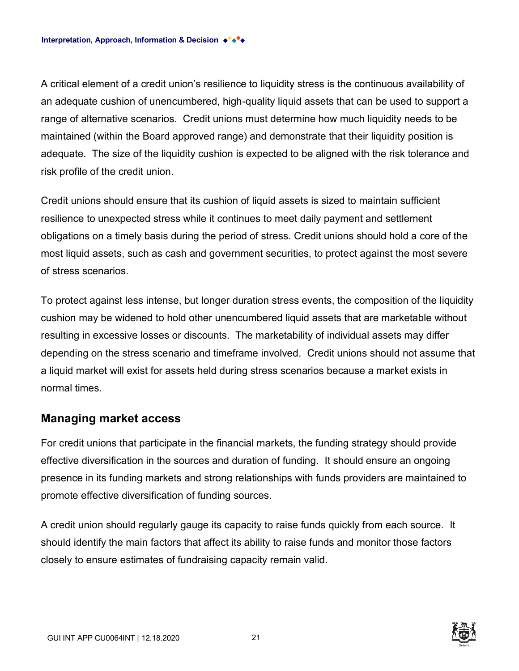A critical element of a credit union's resilience to liquidity stress is the continuous availability of an adequate cushion of unencumbered, high-quality liquid assets that can be used to support a range of alternative scenarios. Credit unions must determine how much liquidity needs to be maintained (within the Board approved range) and demonstrate that their liquidity position is adequate. The size of the liquidity cushion is expected to be aligned with the risk tolerance and risk profile of the credit union.

Credit unions should ensure that its cushion of liquid assets is sized to maintain sufficient resilience to unexpected stress while it continues to meet daily payment and settlement obligations on a timely basis during the period of stress. Credit unions should hold a core of the most liquid assets, such as cash and government securities, to protect against the most severe of stress scenarios.

To protect against less intense, but longer duration stress events, the composition of the liquidity cushion may be widened to hold other unencumbered liquid assets that are marketable without resulting in excessive losses or discounts. The marketability of individual assets may differ depending on the stress scenario and timeframe involved. Credit unions should not assume that a liquid market will exist for assets held during stress scenarios because a market exists in normal times.

#### **Managing market access**

For credit unions that participate in the financial markets, the funding strategy should provide effective diversification in the sources and duration of funding. It should ensure an ongoing presence in its funding markets and strong relationships with funds providers are maintained to promote effective diversification of funding sources.

A credit union should regularly gauge its capacity to raise funds quickly from each source. It should identify the main factors that affect its ability to raise funds and monitor those factors closely to ensure estimates of fundraising capacity remain valid.

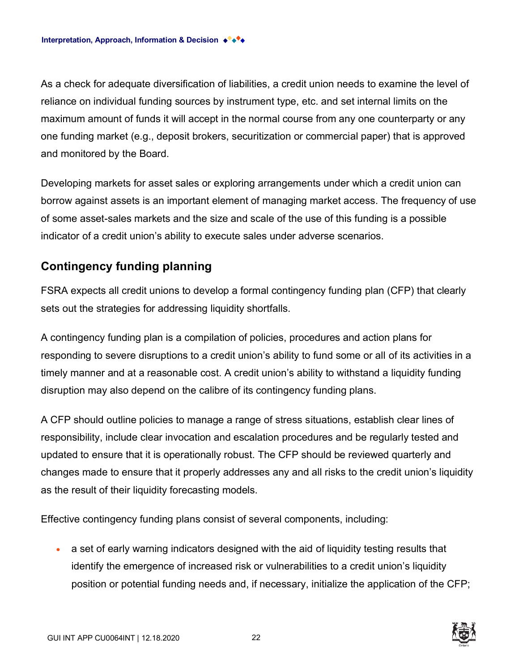As a check for adequate diversification of liabilities, a credit union needs to examine the level of reliance on individual funding sources by instrument type, etc. and set internal limits on the maximum amount of funds it will accept in the normal course from any one counterparty or any one funding market (e.g., deposit brokers, securitization or commercial paper) that is approved and monitored by the Board.

Developing markets for asset sales or exploring arrangements under which a credit union can borrow against assets is an important element of managing market access. The frequency of use of some asset-sales markets and the size and scale of the use of this funding is a possible indicator of a credit union's ability to execute sales under adverse scenarios.

#### **Contingency funding planning**

FSRA expects all credit unions to develop a formal contingency funding plan (CFP) that clearly sets out the strategies for addressing liquidity shortfalls.

A contingency funding plan is a compilation of policies, procedures and action plans for responding to severe disruptions to a credit union's ability to fund some or all of its activities in a timely manner and at a reasonable cost. A credit union's ability to withstand a liquidity funding disruption may also depend on the calibre of its contingency funding plans.

A CFP should outline policies to manage a range of stress situations, establish clear lines of responsibility, include clear invocation and escalation procedures and be regularly tested and updated to ensure that it is operationally robust. The CFP should be reviewed quarterly and changes made to ensure that it properly addresses any and all risks to the credit union's liquidity as the result of their liquidity forecasting models.

Effective contingency funding plans consist of several components, including:

• a set of early warning indicators designed with the aid of liquidity testing results that identify the emergence of increased risk or vulnerabilities to a credit union's liquidity position or potential funding needs and, if necessary, initialize the application of the CFP;

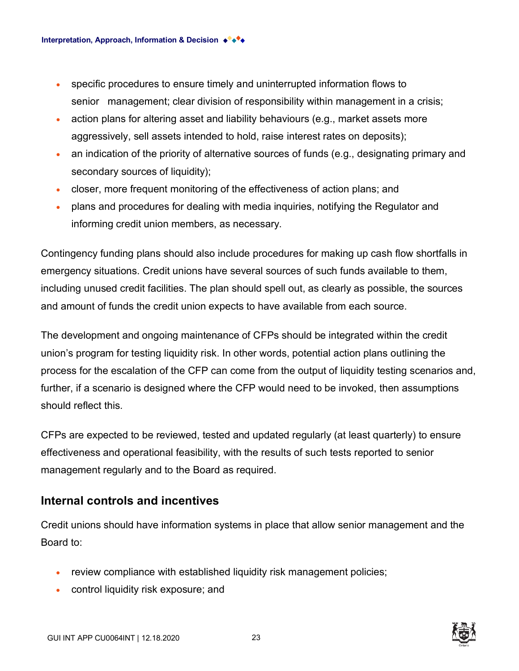- specific procedures to ensure timely and uninterrupted information flows to senior management; clear division of responsibility within management in a crisis;
- action plans for altering asset and liability behaviours (e.g., market assets more aggressively, sell assets intended to hold, raise interest rates on deposits);
- an indication of the priority of alternative sources of funds (e.g., designating primary and secondary sources of liquidity);
- closer, more frequent monitoring of the effectiveness of action plans; and
- plans and procedures for dealing with media inquiries, notifying the Regulator and informing credit union members, as necessary.

Contingency funding plans should also include procedures for making up cash flow shortfalls in emergency situations. Credit unions have several sources of such funds available to them, including unused credit facilities. The plan should spell out, as clearly as possible, the sources and amount of funds the credit union expects to have available from each source.

The development and ongoing maintenance of CFPs should be integrated within the credit union's program for testing liquidity risk. In other words, potential action plans outlining the process for the escalation of the CFP can come from the output of liquidity testing scenarios and, further, if a scenario is designed where the CFP would need to be invoked, then assumptions should reflect this*.*

CFPs are expected to be reviewed, tested and updated regularly (at least quarterly) to ensure effectiveness and operational feasibility, with the results of such tests reported to senior management regularly and to the Board as required.

#### **Internal controls and incentives**

Credit unions should have information systems in place that allow senior management and the Board to:

- review compliance with established liquidity risk management policies;
- control liquidity risk exposure; and

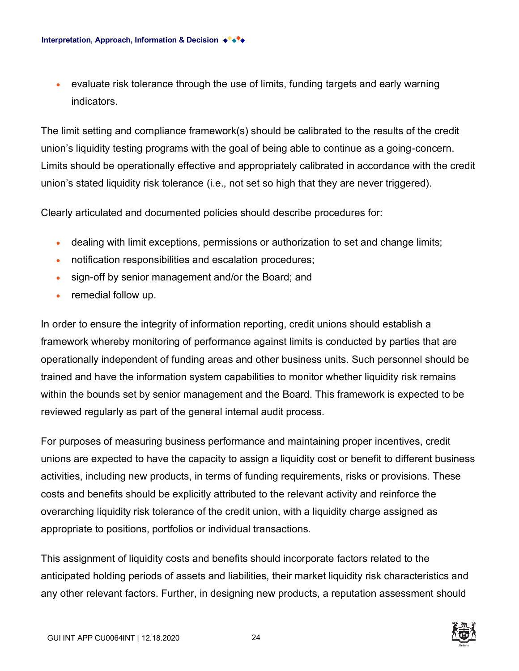• evaluate risk tolerance through the use of limits, funding targets and early warning indicators.

The limit setting and compliance framework(s) should be calibrated to the results of the credit union's liquidity testing programs with the goal of being able to continue as a going-concern. Limits should be operationally effective and appropriately calibrated in accordance with the credit union's stated liquidity risk tolerance (i.e., not set so high that they are never triggered).

Clearly articulated and documented policies should describe procedures for:

- dealing with limit exceptions, permissions or authorization to set and change limits;
- notification responsibilities and escalation procedures;
- sign-off by senior management and/or the Board; and
- remedial follow up.

In order to ensure the integrity of information reporting, credit unions should establish a framework whereby monitoring of performance against limits is conducted by parties that are operationally independent of funding areas and other business units. Such personnel should be trained and have the information system capabilities to monitor whether liquidity risk remains within the bounds set by senior management and the Board. This framework is expected to be reviewed regularly as part of the general internal audit process.

For purposes of measuring business performance and maintaining proper incentives, credit unions are expected to have the capacity to assign a liquidity cost or benefit to different business activities, including new products, in terms of funding requirements, risks or provisions. These costs and benefits should be explicitly attributed to the relevant activity and reinforce the overarching liquidity risk tolerance of the credit union, with a liquidity charge assigned as appropriate to positions, portfolios or individual transactions.

This assignment of liquidity costs and benefits should incorporate factors related to the anticipated holding periods of assets and liabilities, their market liquidity risk characteristics and any other relevant factors. Further, in designing new products, a reputation assessment should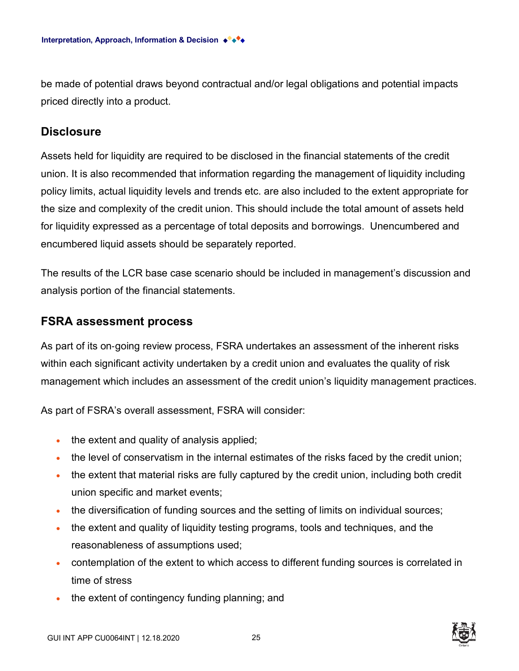be made of potential draws beyond contractual and/or legal obligations and potential impacts priced directly into a product.

#### **Disclosure**

Assets held for liquidity are required to be disclosed in the financial statements of the credit union. It is also recommended that information regarding the management of liquidity including policy limits, actual liquidity levels and trends etc. are also included to the extent appropriate for the size and complexity of the credit union. This should include the total amount of assets held for liquidity expressed as a percentage of total deposits and borrowings. Unencumbered and encumbered liquid assets should be separately reported.

The results of the LCR base case scenario should be included in management's discussion and analysis portion of the financial statements.

#### **FSRA assessment process**

As part of its on‐going review process, FSRA undertakes an assessment of the inherent risks within each significant activity undertaken by a credit union and evaluates the quality of risk management which includes an assessment of the credit union's liquidity management practices.

As part of FSRA's overall assessment, FSRA will consider:

- the extent and quality of analysis applied;
- the level of conservatism in the internal estimates of the risks faced by the credit union;
- the extent that material risks are fully captured by the credit union, including both credit union specific and market events;
- the diversification of funding sources and the setting of limits on individual sources;
- the extent and quality of liquidity testing programs, tools and techniques, and the reasonableness of assumptions used;
- contemplation of the extent to which access to different funding sources is correlated in time of stress
- the extent of contingency funding planning; and